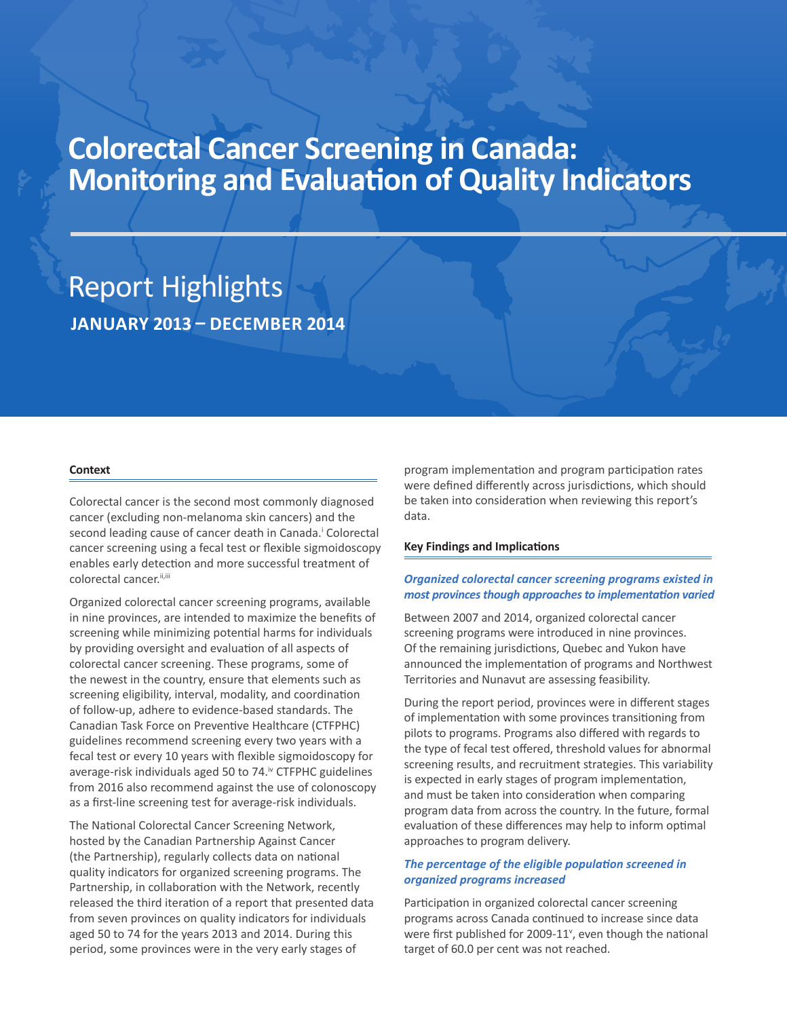# **Colorectal Cancer Screening in Canada: Monitoring and Evaluation of Quality Indicators**

## Report Highlights **JANUARY 2013 – DECEMBER 2014**

#### **Context**

Colorectal cancer is the second most commonly diagnosed cancer (excluding non-melanoma skin cancers) and the second leading cause of cancer death in Canada.<sup>i</sup> Colorectal cancer screening using a fecal test or flexible sigmoidoscopy enables early detection and more successful treatment of colorectal cancer.<sup>ii,iii</sup>

Organized colorectal cancer screening programs, available in nine provinces, are intended to maximize the benefits of screening while minimizing potential harms for individuals by providing oversight and evaluation of all aspects of colorectal cancer screening. These programs, some of the newest in the country, ensure that elements such as screening eligibility, interval, modality, and coordination of follow-up, adhere to evidence-based standards. The Canadian Task Force on Preventive Healthcare (CTFPHC) guidelines recommend screening every two years with a fecal test or every 10 years with flexible sigmoidoscopy for average-risk individuals aged 50 to 74.<sup>iv</sup> CTFPHC guidelines from 2016 also recommend against the use of colonoscopy as a first-line screening test for average-risk individuals.

The National Colorectal Cancer Screening Network, hosted by the Canadian Partnership Against Cancer (the Partnership), regularly collects data on national quality indicators for organized screening programs. The Partnership, in collaboration with the Network, recently released the third iteration of a report that presented data from seven provinces on quality indicators for individuals aged 50 to 74 for the years 2013 and 2014. During this period, some provinces were in the very early stages of

program implementation and program participation rates were defined differently across jurisdictions, which should be taken into consideration when reviewing this report's data.

#### **Key Findings and Implications**

## *Organized colorectal cancer screening programs existed in most provinces though approaches to implementation varied*

Between 2007 and 2014, organized colorectal cancer screening programs were introduced in nine provinces. Of the remaining jurisdictions, Quebec and Yukon have announced the implementation of programs and Northwest Territories and Nunavut are assessing feasibility.

During the report period, provinces were in different stages of implementation with some provinces transitioning from pilots to programs. Programs also differed with regards to the type of fecal test offered, threshold values for abnormal screening results, and recruitment strategies. This variability is expected in early stages of program implementation, and must be taken into consideration when comparing program data from across the country. In the future, formal evaluation of these differences may help to inform optimal approaches to program delivery.

## *The percentage of the eligible population screened in organized programs increased*

Participation in organized colorectal cancer screening programs across Canada continued to increase since data were first published for 2009-11<sup>v</sup>, even though the national target of 60.0 per cent was not reached.